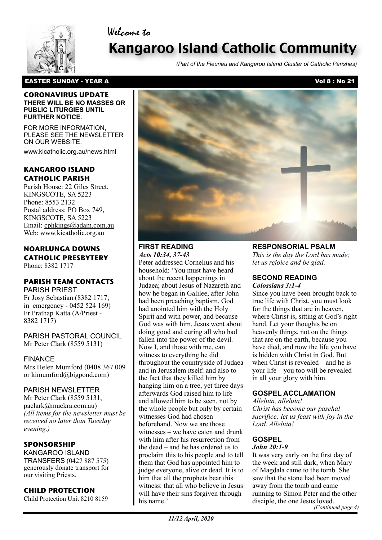Welcome to



# Kangaroo Island Catholic Community

*(Part of the Fleurieu and Kangaroo Island Cluster of Catholic Parishes)*

#### **CORONAVIRUS UPDATE THERE WILL BE NO MASSES OR PUBLIC LITURGIES UNTIL FURTHER NOTICE**.

FOR MORE INFORMATION, PLEASE SEE THE NEWSLETTER ON OUR WEBSITE.

www.kicatholic.org.au/news.html

# **KANGAROO ISLAND CATHOLIC PARISH**

Parish House: 22 Giles Street, KINGSCOTE, SA 5223 Phone: 8553 2132 Postal address: PO Box 749, KINGSCOTE, SA 5223 Email: cphkings@adam.com.au Web: www.kicatholic.org.au

#### **NOARLUNGA DOWNS CATHOLIC PRESBYTERY** Phone: 8382 1717

# **PARISH TEAM CONTACTS**

PARISH PRIEST Fr Josy Sebastian (8382 1717; in emergency - 0452 524 169) Fr Prathap Katta (A/Priest - 8382 1717)

PARISH PASTORAL COUNCIL Mr Peter Clark (8559 5131)

# FINANCE

Mrs Helen Mumford (0408 367 009 or kimumford@bigpond.com)

# PARISH NEWSLETTER

Mr Peter Clark (8559 5131, paclark@muckra.com.au) *(All items for the newsletter must be received no later than Tuesday evening.)*

# **SPONSORSHIP**

KANGAROO ISLAND TRANSFERS (0427 887 575) generously donate transport for our visiting Priests.

# **CHILD PROTECTION**

Child Protection Unit 8210 8159



# **FIRST READING**

*Acts 10:34, 37-43* Peter addressed Cornelius and his household: 'You must have heard about the recent happenings in Judaea; about Jesus of Nazareth and how he began in Galilee, after John had been preaching baptism. God had anointed him with the Holy Spirit and with power, and because God was with him, Jesus went about doing good and curing all who had fallen into the power of the devil. Now I, and those with me, can witness to everything he did throughout the countryside of Judaea and in Jerusalem itself: and also to the fact that they killed him by hanging him on a tree, yet three days afterwards God raised him to life and allowed him to be seen, not by the whole people but only by certain witnesses God had chosen beforehand. Now we are those witnesses – we have eaten and drunk with him after his resurrection from the dead – and he has ordered us to proclaim this to his people and to tell them that God has appointed him to judge everyone, alive or dead. It is to him that all the prophets bear this witness: that all who believe in Jesus will have their sins forgiven through his name.'

**RESPONSORIAL PSALM**

*This is the day the Lord has made; let us rejoice and be glad.*

#### **SECOND READING** *Colossians 3:1-4*

Since you have been brought back to true life with Christ, you must look for the things that are in heaven, where Christ is, sitting at God's right hand. Let your thoughts be on heavenly things, not on the things that are on the earth, because you have died, and now the life you have is hidden with Christ in God. But when Christ is revealed – and he is your life – you too will be revealed in all your glory with him.

# **GOSPEL ACCLAMATION**

*Alleluia, alleluia! Christ has become our paschal sacrifice; let us feast with joy in the Lord. Alleluia!*

# **GOSPEL**

### *John 20:1-9*

It was very early on the first day of the week and still dark, when Mary of Magdala came to the tomb. She saw that the stone had been moved away from the tomb and came running to Simon Peter and the other disciple, the one Jesus loved. *(Continued page 4)*

*11/12 April, 2020*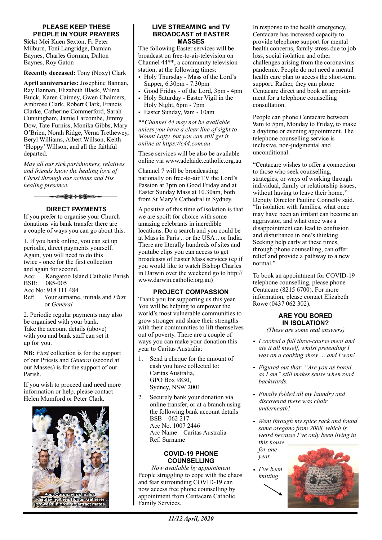#### **PLEASE KEEP THESE PEOPLE IN YOUR PRAYERS**

**Sick:** Mei Kuen Sexton, Fr Peter Milburn, Toni Langridge, Damian Baynes, Charles Gorman, Dalton Baynes, Roy Gaton

**Recently deceased:** Tony (Noxy) Clark

**April anniversaries:** Josephine Bannan, Ray Bannan, Elizabeth Black, Wilma Buick, Karen Cairney, Gwen Chalmers, Ambrose Clark, Robert Clark, Francis Clarke, Catherine Commerford, Sarah Cunningham, Jamie Larcombe, Jimmy Dow, Tate Furniss, Monika Gibbs, Mary O'Brien, Norah Ridge, Verna Trethewey, Beryl Williams, Albert Willson, Keith 'Hoppy' Willson, and all the faithful departed.

*May all our sick parishioners, relatives and friends know the healing love of Christ through our actions and His healing presence.*



#### **DIRECT PAYMENTS**

If you prefer to organise your Church donations via bank transfer there are a couple of ways you can go about this.

1. If you bank online, you can set up periodic, direct payments yourself. Again, you will need to do this twice - once for the first collection and again for second. Acc: Kangaroo Island Catholic Parish BSB: 085-005 Acc No: 918 111 484 Ref: Your surname, initials and *First* or *General* 2. Periodic regular payments may also

be organised with your bank. Take the account details (above) with you and bank staff can set it up for you.

**NB:** *First* collection is for the support of our Priests and *General* (second at our Masses) is for the support of our Parish.

If you wish to proceed and need more information or help, please contact Helen Mumford or Peter Clark.



#### **LIVE STREAMING and TV BROADCAST of EASTER MASSES**

The following Easter services will be broadcast on free-to-air-television on Channel 44\*\*, a community television station, at the following times:

- Holy Thursday Mass of the Lord's Supper, 6.30pm - 7.30pm
- Good Friday of the Lord, 3pm 4pm
- Holy Saturday Easter Vigil in the Holy Night, 6pm - 7pm
- Easter Sunday, 9am 10am

\*\**Channel 44 may not be available unless you have a clear line of sight to Mount Lofty, but you can still get it online at https://c44.com.au*

These services will be also be available online via [www.adelaide.catholic.org.au](http://www.adelaide.catholic.org.au)

Channel 7 will be broadcasting nationally on free-to-air TV the Lord's Passion at 3pm on Good Friday and at Easter Sunday Mass at 10.30am, both from St Mary's Cathedral in Sydney.

A positive of this time of isolation is that we are spoilt for choice with some amazing celebrants in incredible locations. Do a search and you could be at Mass in Paris .. or the USA .. or India. There are literally hundreds of sites and youtube clips you can access to get broadcasts of Easter Mass services (eg if you would like to watch Bishop Charles in Darwin over the weekend go to http:// www.darwin.catholic.org.au)

#### **PROJECT COMPASSION**

Thank you for supporting us this year. You will be helping to empower the world's most vulnerable communities to grow stronger and share their strengths with their communities to lift themselves out of poverty. There are a couple of ways you can make your donation this year to Caritas Australia:

- 1. Send a cheque for the amount of cash you have collected to: Caritas Australia, GPO Box 9830, Sydney, NSW 2001
- 2. Securely bank your donation via online transfer, or at a branch using the following bank account details BSB – 062 217 Acc No. 1007 2446 Acc Name – Caritas Australia Ref. Surname

#### **COVID-19 PHONE COUNSELLING**

*Now available by appointment* People struggling to cope with the chaos and fear surrounding COVID-19 can now access free phone counselling by appointment from Centacare Catholic Family Services.

In response to the health emergency, Centacare has increased capacity to provide telephone support for mental health concerns, family stress due to job loss, social isolation and other challenges arising from the coronavirus pandemic. People do not need a mental health care plan to access the short-term support. Rather, they can phone Centacare direct and book an appointment for a telephone counselling consultation.

People can phone Centacare between 9am to 5pm, Monday to Friday, to make a daytime or evening appointment. The telephone counselling service is inclusive, non-judgmental and unconditional.

"Centacare wishes to offer a connection to those who seek counselling, strategies, or ways of working through individual, family or relationship issues, without having to leave their home," Deputy Director Pauline Connelly said. "In isolation with families, what once may have been an irritant can become an aggravator, and what once was a disappointment can lead to confusion and disturbance in one's thinking. Seeking help early at these times, through phone counselling, can offer relief and provide a pathway to a new normal."

To book an appointment for COVID-19 telephone counselling, please phone Centacare (8215 6700). For more information, please contact Elizabeth Rowe (0437 062 302).

### **ARE YOU BORED IN ISOLATION?**

*(These are some real answers)*

- *• I cooked a full three-course meal and ate it all myself, whilst pretending I was on a cooking show … and I won!*
- *• Figured out that: "Are you as bored as I am" still makes sense when read backwards.*
- *• Finally folded all my laundry and discovered there was chair underneath!*
- *• Went through my spice rack and found some oregano from 2008, which is weird because I've only been living in this house*

*for one year.*

*• I've been knitting*

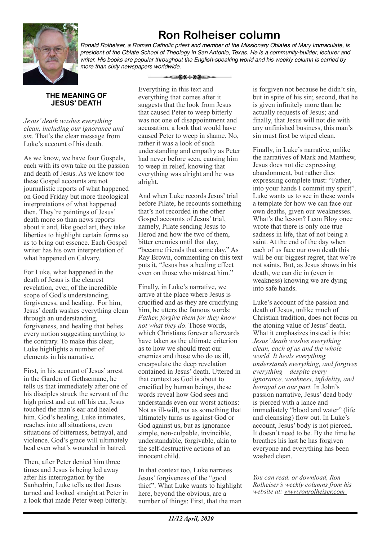

# **Ron Rolheiser column**

*Ronald Rolheiser, a Roman Catholic priest and member of the Missionary Oblates of Mary Immaculate, is president of the Oblate School of Theology in San Antonio, Texas. He is a community-builder, lecturer and writer. His books are popular throughout the English-speaking world and his weekly column is carried by more than sixty newspapers worldwide.*

# **THE MEANING OF**

*Jesus' death washes everything clean, including our ignorance and sin*. That's the clear message from Luke's account of his death.

**JESUS' DEATH**

As we know, we have four Gospels, each with its own take on the passion and death of Jesus. As we know too these Gospel accounts are not journalistic reports of what happened on Good Friday but more theological interpretations of what happened then. They're paintings of Jesus' death more so than news reports about it and, like good art, they take liberties to highlight certain forms so as to bring out essence. Each Gospel writer has his own interpretation of what happened on Calvary.

For Luke, what happened in the death of Jesus is the clearest revelation, ever, of the incredible scope of God's understanding, forgiveness, and healing. For him, Jesus' death washes everything clean through an understanding, forgiveness, and healing that belies every notion suggesting anything to the contrary. To make this clear, Luke highlights a number of elements in his narrative.

First, in his account of Jesus' arrest in the Garden of Gethsemane, he tells us that immediately after one of his disciples struck the servant of the high priest and cut off his ear, Jesus touched the man's ear and healed him. God's healing, Luke intimates, reaches into all situations, even situations of bitterness, betrayal, and violence. God's grace will ultimately heal even what's wounded in hatred.

Then, after Peter denied him three times and Jesus is being led away after his interrogation by the Sanhedrin, Luke tells us that Jesus turned and looked straight at Peter in a look that made Peter weep bitterly.

Everything in this text and everything that comes after it suggests that the look from Jesus that caused Peter to weep bitterly was not one of disappointment and accusation, a look that would have caused Peter to weep in shame. No, rather it was a look of such understanding and empathy as Peter had never before seen, causing him to weep in relief, knowing that everything was alright and he was alright.

-⊂≵⊁⊹⋡≸≕≥

And when Luke records Jesus' trial before Pilate, he recounts something that's not recorded in the other Gospel accounts of Jesus' trial, namely, Pilate sending Jesus to Herod and how the two of them, bitter enemies until that day, "became friends that same day." As Ray Brown, commenting on this text puts it, "Jesus has a healing effect even on those who mistreat him."

Finally, in Luke's narrative, we arrive at the place where Jesus is crucified and as they are crucifying him, he utters the famous words: *Father, forgive them for they know not what they do*. Those words, which Christians forever afterwards have taken as the ultimate criterion as to how we should treat our enemies and those who do us ill, encapsulate the deep revelation contained in Jesus' death. Uttered in that context as God is about to crucified by human beings, these words reveal how God sees and understands even our worst actions: Not as ill-will, not as something that ultimately turns us against God or God against us, but as ignorance – simple, non-culpable, invincible, understandable, forgivable, akin to the self-destructive actions of an innocent child.

In that context too, Luke narrates Jesus' forgiveness of the "good thief". What Luke wants to highlight here, beyond the obvious, are a number of things: First, that the man

is forgiven not because he didn't sin, but in spite of his sin; second, that he is given infinitely more than he actually requests of Jesus; and finally, that Jesus will not die with any unfinished business, this man's sin must first be wiped clean.

Finally, in Luke's narrative, unlike the narratives of Mark and Matthew, Jesus does not die expressing abandonment, but rather dies expressing complete trust: "Father, into your hands I commit my spirit". Luke wants us to see in these words a template for how we can face our own deaths, given our weaknesses. What's the lesson? Leon Bloy once wrote that there is only one true sadness in life, that of not being a saint. At the end of the day when each of us face our own death this will be our biggest regret, that we're not saints. But, as Jesus shows in his death, we can die in (even in weakness) knowing we are dying into safe hands.

Luke's account of the passion and death of Jesus, unlike much of Christian tradition, does not focus on the atoning value of Jesus' death. What it emphasizes instead is this: *Jesus' death washes everything clean, each of us and the whole world. It heals everything, understands everything, and forgives everything – despite every ignorance, weakness, infidelity, and betrayal on our part.* In John's passion narrative, Jesus' dead body is pierced with a lance and immediately "blood and water" (life and cleansing) flow out. In Luke's account, Jesus' body is not pierced. It doesn't need to be. By the time he breathes his last he has forgiven everyone and everything has been washed clean.

*You can read, or download, Ron Rolheiser's weekly columns from his website at: www.ronrolheiser.com*